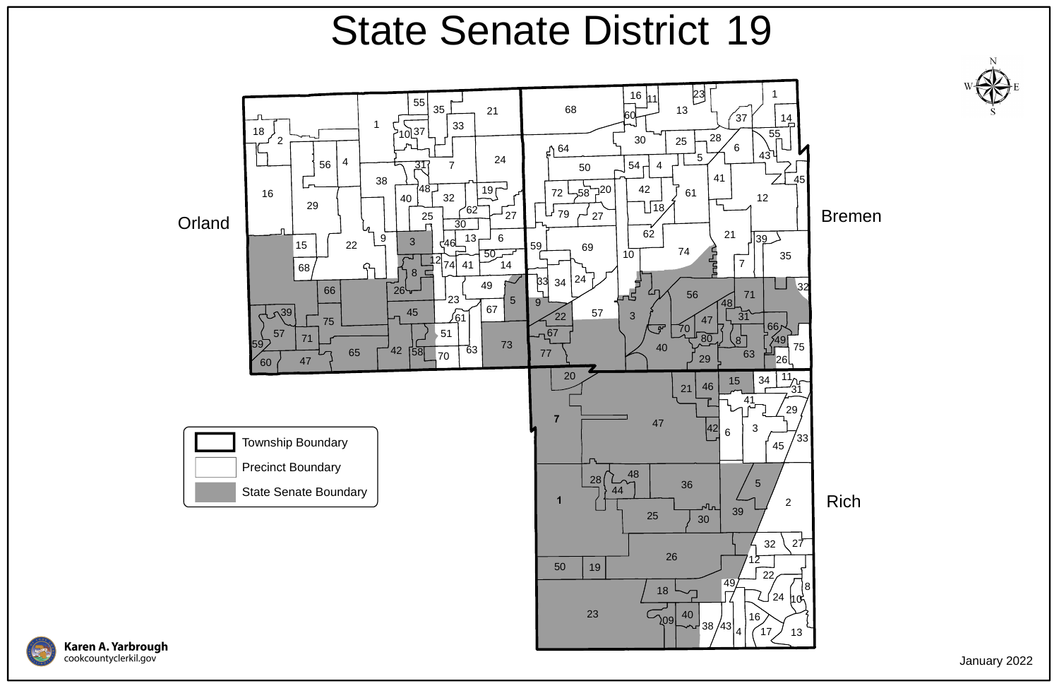





## State Senate District 19

January 2022